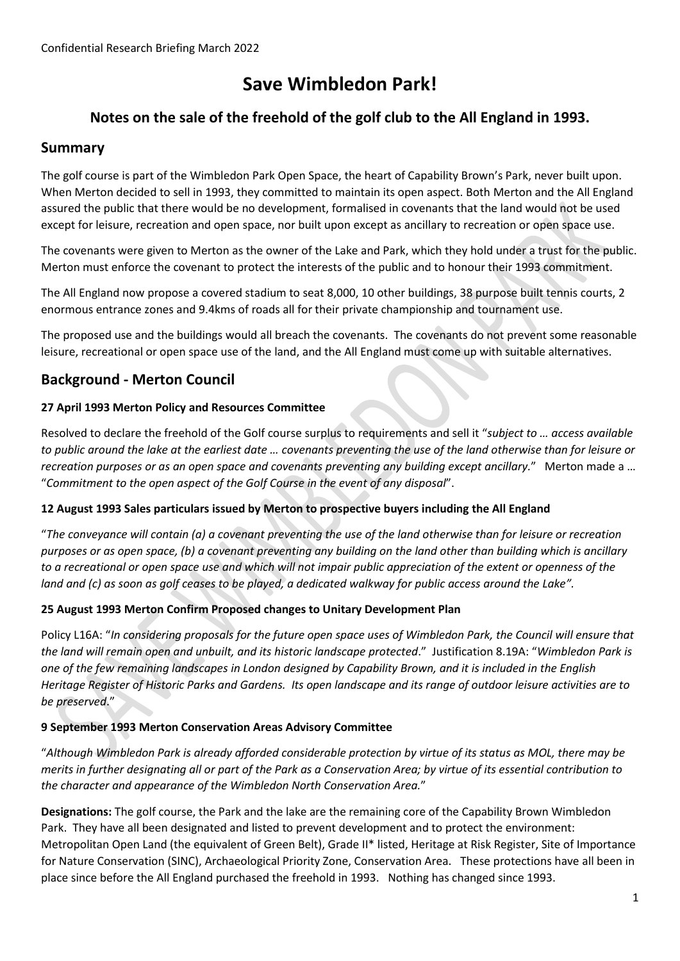# **Save Wimbledon Park!**

# **Notes on the sale of the freehold of the golf club to the All England in 1993.**

### **Summary**

The golf course is part of the Wimbledon Park Open Space, the heart of Capability Brown's Park, never built upon. When Merton decided to sell in 1993, they committed to maintain its open aspect. Both Merton and the All England assured the public that there would be no development, formalised in covenants that the land would not be used except for leisure, recreation and open space, nor built upon except as ancillary to recreation or open space use.

The covenants were given to Merton as the owner of the Lake and Park, which they hold under a trust for the public. Merton must enforce the covenant to protect the interests of the public and to honour their 1993 commitment.

The All England now propose a covered stadium to seat 8,000, 10 other buildings, 38 purpose built tennis courts, 2 enormous entrance zones and 9.4kms of roads all for their private championship and tournament use.

The proposed use and the buildings would all breach the covenants. The covenants do not prevent some reasonable leisure, recreational or open space use of the land, and the All England must come up with suitable alternatives.

# **Background - Merton Council**

#### **27 April 1993 Merton Policy and Resources Committee**

Resolved to declare the freehold of the Golf course surplus to requirements and sell it "*subject to … access available to public around the lake at the earliest date … covenants preventing the use of the land otherwise than for leisure or recreation purposes or as an open space and covenants preventing any building except ancillary.*" Merton made a … "*Commitment to the open aspect of the Golf Course in the event of any disposal*".

#### **12 August 1993 Sales particulars issued by Merton to prospective buyers including the All England**

"*The conveyance will contain (a) a covenant preventing the use of the land otherwise than for leisure or recreation purposes or as open space, (b) a covenant preventing any building on the land other than building which is ancillary* to a recreational or open space use and which will not impair public appreciation of the extent or openness of the *land and (c) as soon as golf ceases to be played, a dedicated walkway for public access around the Lake".*

#### **25 August 1993 Merton Confirm Proposed changes to Unitary Development Plan**

Policy L16A: "*In considering proposals for the future open space uses of Wimbledon Park, the Council will ensure that the land will remain open and unbuilt, and its historic landscape protected*." Justification 8.19A: "*Wimbledon Park is one of the few remaining landscapes in London designed by Capability Brown, and it is included in the English Heritage Register of Historic Parks and Gardens. Its open landscape and its range of outdoor leisure activities are to be preserved*."

#### **9 September 1993 Merton Conservation Areas Advisory Committee**

"*Although Wimbledon Park is already afforded considerable protection by virtue of its status as MOL, there may be merits in further designating all or part of the Park as a Conservation Area; by virtue of its essential contribution to the character and appearance of the Wimbledon North Conservation Area.*"

**Designations:** The golf course, the Park and the lake are the remaining core of the Capability Brown Wimbledon Park. They have all been designated and listed to prevent development and to protect the environment: Metropolitan Open Land (the equivalent of Green Belt), Grade II\* listed, Heritage at Risk Register, Site of Importance for Nature Conservation (SINC), Archaeological Priority Zone, Conservation Area. These protections have all been in place since before the All England purchased the freehold in 1993. Nothing has changed since 1993.